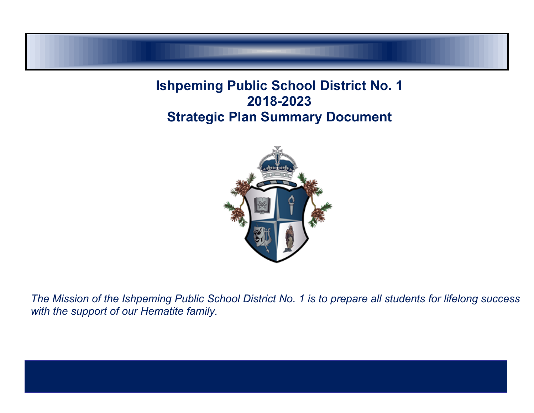# **Ishpeming Public School District No. 1 2018-2023 Strategic Plan Summary Document**



The Mission of the Ishpeming Public School District No. 1 is to prepare all students for lifelong success *with the support of our Hematite family.*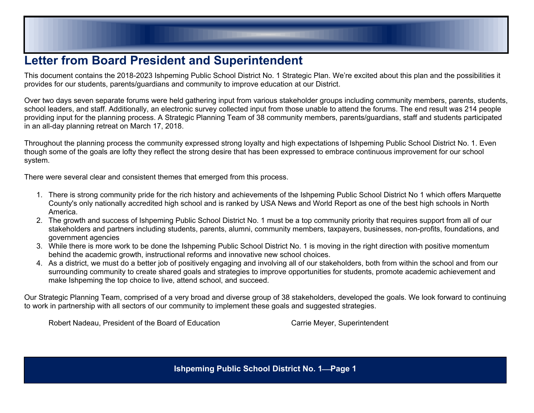# **Letter from Board President and Superintendent**

This document contains the 2018-2023 Ishpeming Public School District No. 1 Strategic Plan. We're excited about this plan and the possibilities it provides for our students, parents/guardians and community to improve education at our District.

Over two days seven separate forums were held gathering input from various stakeholder groups including community members, parents, students, school leaders, and staff. Additionally, an electronic survey collected input from those unable to attend the forums. The end result was 214 people providing input for the planning process. A Strategic Planning Team of 38 community members, parents/guardians, staff and students participated in an all-day planning retreat on March 17, 2018.

Throughout the planning process the community expressed strong loyalty and high expectations of Ishpeming Public School District No. 1. Even though some of the goals are lofty they reflect the strong desire that has been expressed to embrace continuous improvement for our school system.

There were several clear and consistent themes that emerged from this process.

- 1. There is strong community pride for the rich history and achievements of the Ishpeming Public School District No 1 which offers Marquette County's only nationally accredited high school and is ranked by USA News and World Report as one of the best high schools in North America.
- 2. The growth and success of Ishpeming Public School District No. 1 must be a top community priority that requires support from all of our stakeholders and partners including students, parents, alumni, community members, taxpayers, businesses, non-profits, foundations, and government agencies
- 3. While there is more work to be done the Ishpeming Public School District No. 1 is moving in the right direction with positive momentum behind the academic growth, instructional reforms and innovative new school choices.
- 4. As a district, we must do a better job of positively engaging and involving all of our stakeholders, both from within the school and from our surrounding community to create shared goals and strategies to improve opportunities for students, promote academic achievement and make Ishpeming the top choice to live, attend school, and succeed.

Our Strategic Planning Team, comprised of a very broad and diverse group of 38 stakeholders, developed the goals. We look forward to continuing to work in partnership with all sectors of our community to implement these goals and suggested strategies.

Robert Nadeau, President of the Board of Education Carrie Meyer, Superintendent

**Ishpeming Public School District No. 1Page 1**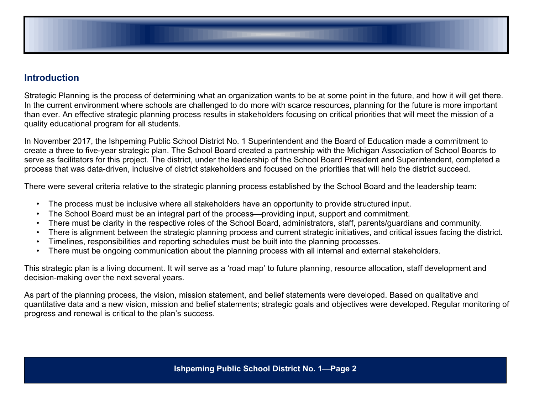

## **Introduction**

Strategic Planning is the process of determining what an organization wants to be at some point in the future, and how it will get there. In the current environment where schools are challenged to do more with scarce resources, planning for the future is more important than ever. An effective strategic planning process results in stakeholders focusing on critical priorities that will meet the mission of a quality educational program for all students.

In November 2017, the Ishpeming Public School District No. 1 Superintendent and the Board of Education made a commitment to create a three to five-year strategic plan. The School Board created a partnership with the Michigan Association of School Boards to serve as facilitators for this project. The district, under the leadership of the School Board President and Superintendent, completed a process that was data-driven, inclusive of district stakeholders and focused on the priorities that will help the district succeed.

There were several criteria relative to the strategic planning process established by the School Board and the leadership team:

- The process must be inclusive where all stakeholders have an opportunity to provide structured input.
- The School Board must be an integral part of the process—providing input, support and commitment.
- There must be clarity in the respective roles of the School Board, administrators, staff, parents/guardians and community.
- There is alignment between the strategic planning process and current strategic initiatives, and critical issues facing the district.
- Timelines, responsibilities and reporting schedules must be built into the planning processes.
- There must be ongoing communication about the planning process with all internal and external stakeholders.

This strategic plan is a living document. It will serve as a 'road map' to future planning, resource allocation, staff development and decision-making over the next several years.

As part of the planning process, the vision, mission statement, and belief statements were developed. Based on qualitative and quantitative data and a new vision, mission and belief statements; strategic goals and objectives were developed. Regular monitoring of progress and renewal is critical to the plan's success.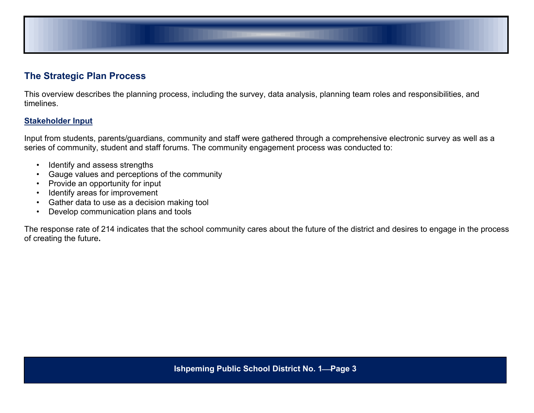

## **The Strategic Plan Process**

This overview describes the planning process, including the survey, data analysis, planning team roles and responsibilities, and timelines.

### **Stakeholder Input**

Input from students, parents/guardians, community and staff were gathered through a comprehensive electronic survey as well as a series of community, student and staff forums. The community engagement process was conducted to:

- Identify and assess strengths
- Gauge values and perceptions of the community
- Provide an opportunity for input
- Identify areas for improvement
- Gather data to use as a decision making tool
- Develop communication plans and tools

The response rate of 214 indicates that the school community cares about the future of the district and desires to engage in the process of creating the future**.**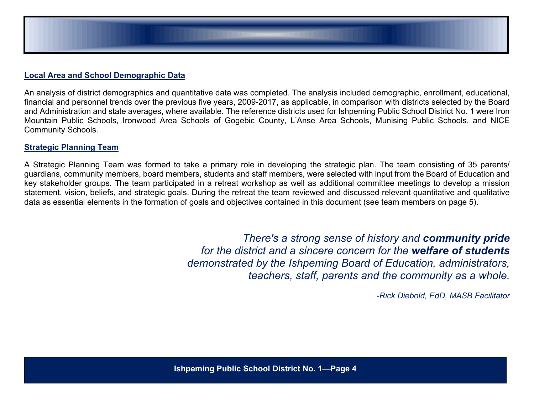

### **Local Area and School Demographic Data**

An analysis of district demographics and quantitative data was completed. The analysis included demographic, enrollment, educational, financial and personnel trends over the previous five years, 2009-2017, as applicable, in comparison with districts selected by the Board and Administration and state averages, where available. The reference districts used for Ishpeming Public School District No. 1 were Iron Mountain Public Schools, Ironwood Area Schools of Gogebic County, L'Anse Area Schools, Munising Public Schools, and NICE Community Schools.

### **Strategic Planning Team**

A Strategic Planning Team was formed to take a primary role in developing the strategic plan. The team consisting of 35 parents/ guardians, community members, board members, students and staff members, were selected with input from the Board of Education and key stakeholder groups. The team participated in a retreat workshop as well as additional committee meetings to develop a mission statement, vision, beliefs, and strategic goals. During the retreat the team reviewed and discussed relevant quantitative and qualitative data as essential elements in the formation of goals and objectives contained in this document (see team members on page 5).

> *There's a strong sense of history and community pride for the district and a sincere concern for the welfare of students demonstrated by the Ishpeming Board of Education, administrators, teachers, staff, parents and the community as a whole.*

> > *-Rick Diebold, EdD, MASB Facilitator*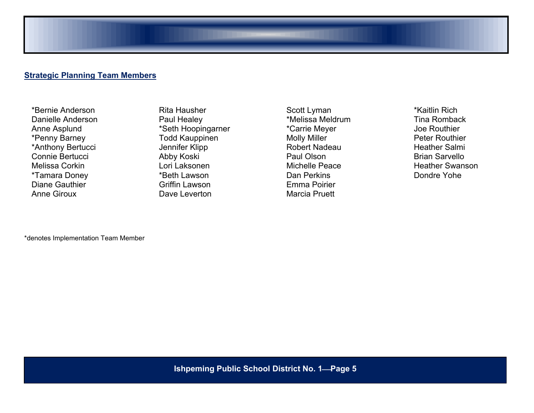### **Strategic Planning Team Members**

\*Bernie Anderson Danielle Anderson Anne Asplund \*Penny Barney \*Anthony Bertucci Connie Bertucci Melissa Corkin \*Tamara Doney Diane Gauthier Anne Giroux

Rita Hausher Paul Healey \*Seth Hoopingarner Todd Kauppinen Jennifer Klipp Abby Koski Lori Laksonen \*Beth Lawson Griffin Lawson Dave Leverton

Scott Lyman \*Melissa Meldrum \*Carrie Meyer Molly Miller Robert Nadeau Paul Olson Michelle Peace Dan Perkins Emma Poirier Marcia Pruett

\*Kaitlin Rich Tina Romback Joe Routhier Peter Routhier Heather Salmi Brian Sarvello Heather Swanson Dondre Yohe

\*denotes Implementation Team Member

**Ishpeming Public School District No. 1Page 5**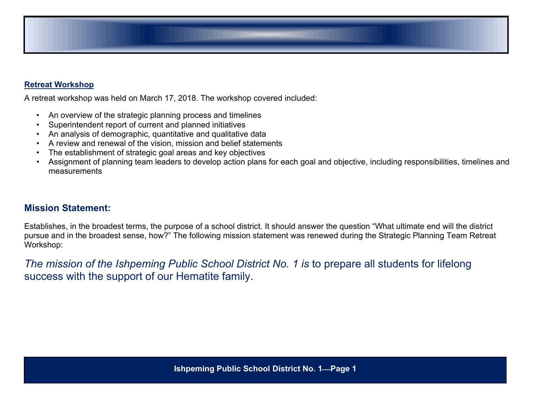

### **Retreat Workshop**

A retreat workshop was held on March 17, 2018. The workshop covered included:

- An overview of the strategic planning process and timelines
- Superintendent report of current and planned initiatives
- An analysis of demographic, quantitative and qualitative data
- A review and renewal of the vision, mission and belief statements
- The establishment of strategic goal areas and key objectives
- Assignment of planning team leaders to develop action plans for each goal and objective, including responsibilities, timelines and measurements

### **Mission Statement:**

Establishes, in the broadest terms, the purpose of a school district. It should answer the question "What ultimate end will the district pursue and in the broadest sense, how?" The following mission statement was renewed during the Strategic Planning Team Retreat Workshop:

*The mission of the Ishpeming Public School District No. 1 is* to prepare all students for lifelong success with the support of our Hematite family.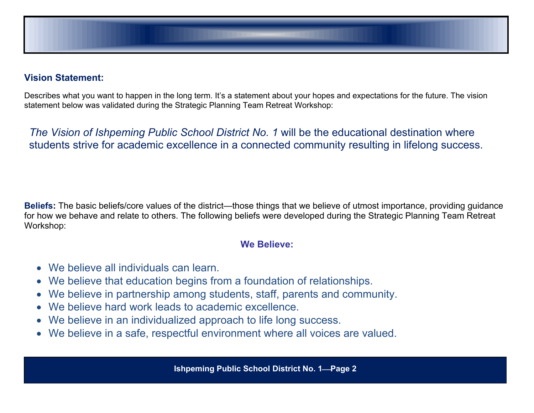

## **Vision Statement:**

Describes what you want to happen in the long term. It's a statement about your hopes and expectations for the future. The vision statement below was validated during the Strategic Planning Team Retreat Workshop:

*The Vision of Ishpeming Public School District No. 1* will be the educational destination where students strive for academic excellence in a connected community resulting in lifelong success.

**Beliefs:** The basic beliefs/core values of the district—those things that we believe of utmost importance, providing guidance for how we behave and relate to others. The following beliefs were developed during the Strategic Planning Team Retreat Workshop:

## **We Believe:**

- We believe all individuals can learn.
- We believe that education begins from a foundation of relationships.
- We believe in partnership among students, staff, parents and community.
- We believe hard work leads to academic excellence.
- We believe in an individualized approach to life long success.
- We believe in a safe, respectful environment where all voices are valued.

**Ishpeming Public School District No. 1Page 2**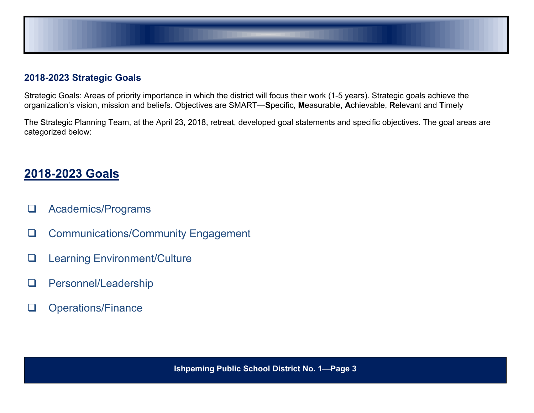

## **2018-2023 Strategic Goals**

Strategic Goals: Areas of priority importance in which the district will focus their work (1-5 years). Strategic goals achieve the organization's vision, mission and beliefs. Objectives are SMART—**S**pecific, **M**easurable, **A**chievable, **R**elevant and **T**imely

The Strategic Planning Team, at the April 23, 2018, retreat, developed goal statements and specific objectives. The goal areas are categorized below:

# **2018-2023 Goals**

- **Q** Academics/Programs
- **Q** Communications/Community Engagement
- □ Learning Environment/Culture
- **Q** Personnel/Leadership
- **Q** Operations/Finance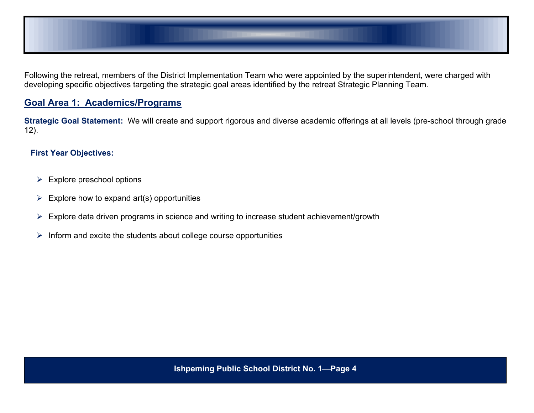

Following the retreat, members of the District Implementation Team who were appointed by the superintendent, were charged with developing specific objectives targeting the strategic goal areas identified by the retreat Strategic Planning Team.

## **Goal Area 1: Academics/Programs**

**Strategic Goal Statement:** We will create and support rigorous and diverse academic offerings at all levels (pre-school through grade 12).

- $\triangleright$  Explore preschool options
- $\triangleright$  Explore how to expand art(s) opportunities
- Explore data driven programs in science and writing to increase student achievement/growth
- $\triangleright$  Inform and excite the students about college course opportunities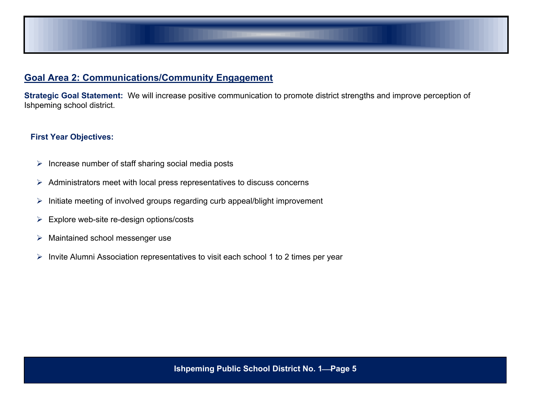

## **Goal Area 2: Communications/Community Engagement**

**Strategic Goal Statement:** We will increase positive communication to promote district strengths and improve perception of Ishpeming school district.

- $\triangleright$  Increase number of staff sharing social media posts
- $\triangleright$  Administrators meet with local press representatives to discuss concerns
- $\triangleright$  Initiate meeting of involved groups regarding curb appeal/blight improvement
- $\triangleright$  Explore web-site re-design options/costs
- > Maintained school messenger use
- $\triangleright$  Invite Alumni Association representatives to visit each school 1 to 2 times per year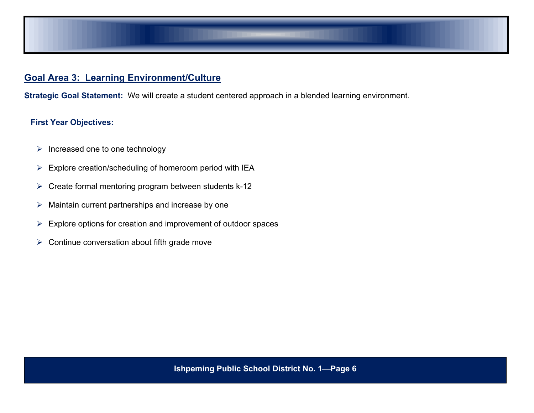

## **Goal Area 3: Learning Environment/Culture**

**Strategic Goal Statement:** We will create a student centered approach in a blended learning environment.

- $\triangleright$  Increased one to one technology
- Explore creation/scheduling of homeroom period with IEA
- $\triangleright$  Create formal mentoring program between students k-12
- $\triangleright$  Maintain current partnerships and increase by one
- $\triangleright$  Explore options for creation and improvement of outdoor spaces
- $\triangleright$  Continue conversation about fifth grade move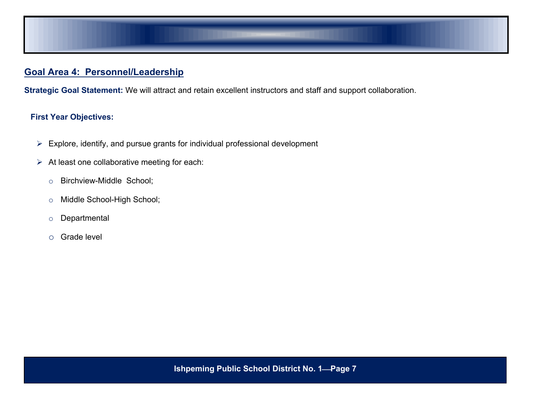

## **Goal Area 4: Personnel/Leadership**

**Strategic Goal Statement:** We will attract and retain excellent instructors and staff and support collaboration.

- $\triangleright$  Explore, identify, and pursue grants for individual professional development
- $\triangleright$  At least one collaborative meeting for each:
	- o Birchview-Middle School;
	- o Middle School-High School;
	- o Departmental
	- o Grade level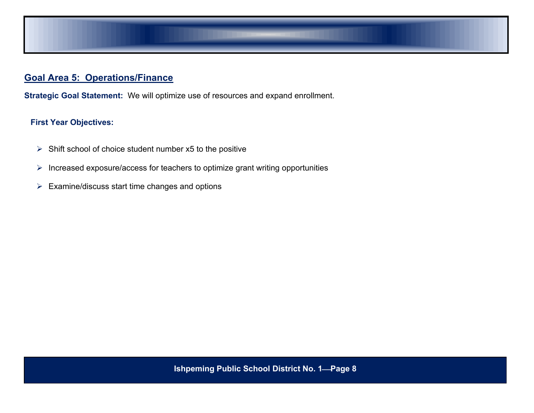

## **Goal Area 5: Operations/Finance**

**Strategic Goal Statement:** We will optimize use of resources and expand enrollment.

- $\triangleright$  Shift school of choice student number x5 to the positive
- $\triangleright$  Increased exposure/access for teachers to optimize grant writing opportunities
- $\triangleright$  Examine/discuss start time changes and options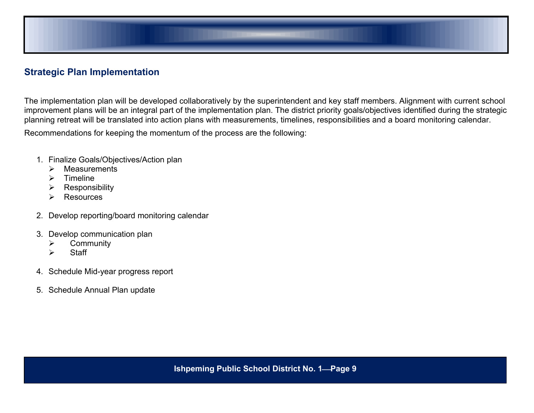

## **Strategic Plan Implementation**

The implementation plan will be developed collaboratively by the superintendent and key staff members. Alignment with current school improvement plans will be an integral part of the implementation plan. The district priority goals/objectives identified during the strategic planning retreat will be translated into action plans with measurements, timelines, responsibilities and a board monitoring calendar.

Recommendations for keeping the momentum of the process are the following:

- 1. Finalize Goals/Objectives/Action plan
	- $\triangleright$  Measurements
	- $\triangleright$  Timeline
	- $\triangleright$  Responsibility
	- **▶ Resources**
- 2. Develop reporting/board monitoring calendar
- 3. Develop communication plan
	- Community
	- $\triangleright$  Staff
- 4. Schedule Mid-year progress report
- 5. Schedule Annual Plan update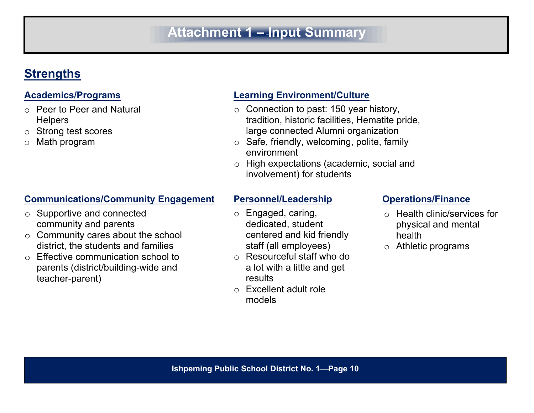# **Attachment 1 – Input Summary**

# **Strengths**

- o Peer to Peer and Natural **Helpers**
- o Strong test scores
- o Math program

# **Communications/Community Engagement Personnel/Leadership <b>Communications/Finance**

- o Supportive and connected community and parents
- $\circ$  Community cares about the school district, the students and families
- o Effective communication school to parents (district/building-wide and teacher-parent)

# **Academics/Programs Learning Environment/Culture**

- $\circ$  Connection to past: 150 year history, tradition, historic facilities, Hematite pride, large connected Alumni organization
- $\circ$  Safe, friendly, welcoming, polite, family environment
- o High expectations (academic, social and involvement) for students

- o Engaged, caring, dedicated, student centered and kid friendly staff (all employees)
- o Resourceful staff who do a lot with a little and get results
- o Excellent adult role models

- o Health clinic/services for physical and mental health
- o Athletic programs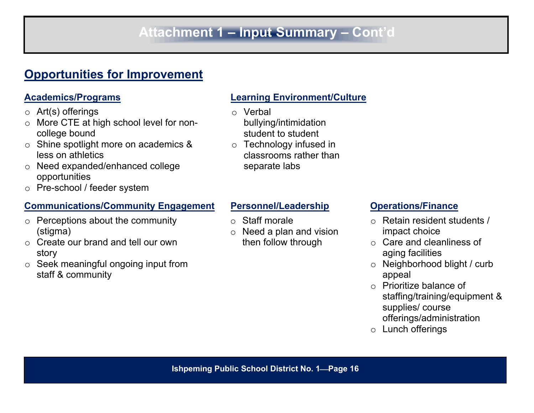# **Opportunities for Improvement**

- $\circ$  Art(s) offerings
- o More CTE at high school level for noncollege bound
- o Shine spotlight more on academics & less on athletics
- o Need expanded/enhanced college opportunities
- o Pre-school / feeder system

# **Communications/Community Engagement Personnel/Leadership <b>Constantiance**

- $\circ$  Perceptions about the community (stigma)
- o Create our brand and tell our own story
- o Seek meaningful ongoing input from staff & community

# **Academics/Programs Learning Environment/Culture**

- o Verbal bullying/intimidation student to student
- o Technology infused in classrooms rather than separate labs

- o Staff morale
- o Need a plan and vision then follow through

- o Retain resident students / impact choice
- o Care and cleanliness of aging facilities
- o Neighborhood blight / curb appeal
- o Prioritize balance of staffing/training/equipment & supplies/ course offerings/administration
- o Lunch offerings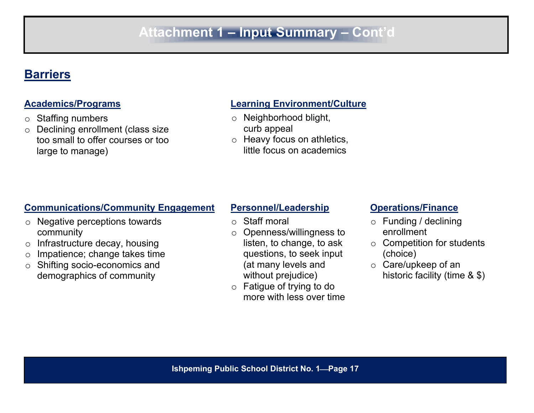# **Barriers**

- o Staffing numbers
- o Declining enrollment (class size too small to offer courses or too large to manage)

# **Academics/Programs Learning Environment/Culture**

- o Neighborhood blight, curb appeal
- o Heavy focus on athletics, little focus on academics

# **Communications/Community Engagement Personnel/Leadership <b>Constanting Operations/Finance**

- o Negative perceptions towards community
- o Infrastructure decay, housing
- o Impatience; change takes time
- o Shifting socio-economics and demographics of community

- o Staff moral
- o Openness/willingness to listen, to change, to ask questions, to seek input (at many levels and without prejudice)
- o Fatigue of trying to do more with less over time

- o Funding / declining enrollment
- o Competition for students (choice)
- o Care/upkeep of an historic facility (time & \$)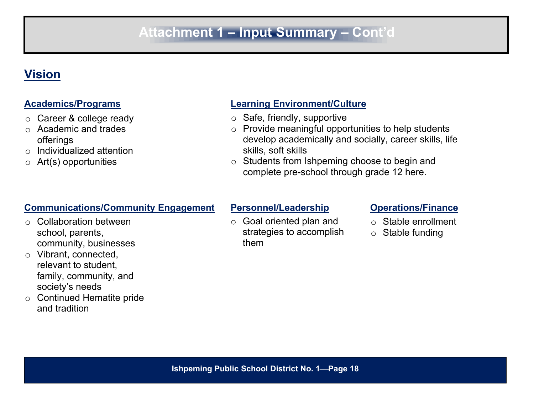# **Vision**

- o Career & college ready
- o Academic and trades offerings
- o Individualized attention
- $\circ$  Art(s) opportunities

# **Communications/Community Engagement Personnel/Leadership <b>Constanting Operations/Finance**

- o Collaboration between school, parents, community, businesses
- o Vibrant, connected, relevant to student, family, community, and society's needs
- o Continued Hematite pride and tradition

# **Academics/Programs Learning Environment/Culture**

- o Safe, friendly, supportive
- $\circ$  Provide meaningful opportunities to help students develop academically and socially, career skills, life skills, soft skills
- o Students from Ishpeming choose to begin and complete pre-school through grade 12 here.

o Goal oriented plan and strategies to accomplish them

- o Stable enrollment
- $\circ$  Stable funding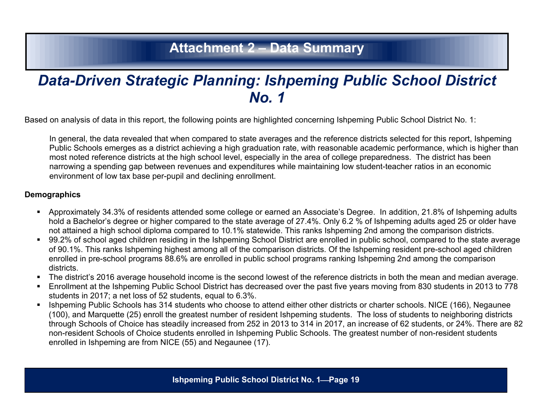# **Attachment 2 – Data Summary**

# *Data-Driven Strategic Planning: Ishpeming Public School District No. 1*

Based on analysis of data in this report, the following points are highlighted concerning Ishpeming Public School District No. 1:

In general, the data revealed that when compared to state averages and the reference districts selected for this report, Ishpeming Public Schools emerges as a district achieving a high graduation rate, with reasonable academic performance, which is higher than most noted reference districts at the high school level, especially in the area of college preparedness. The district has been narrowing a spending gap between revenues and expenditures while maintaining low student-teacher ratios in an economic environment of low tax base per-pupil and declining enrollment.

### **Demographics**

- Approximately 34.3% of residents attended some college or earned an Associate's Degree. In addition, 21.8% of Ishpeming adults hold a Bachelor's degree or higher compared to the state average of 27.4%. Only 6.2 % of Ishpeming adults aged 25 or older have not attained a high school diploma compared to 10.1% statewide. This ranks Ishpeming 2nd among the comparison districts.
- 99.2% of school aged children residing in the Ishpeming School District are enrolled in public school, compared to the state average of 90.1%. This ranks Ishpeming highest among all of the comparison districts. Of the Ishpeming resident pre-school aged children enrolled in pre-school programs 88.6% are enrolled in public school programs ranking Ishpeming 2nd among the comparison districts.
- The district's 2016 average household income is the second lowest of the reference districts in both the mean and median average.
- Enrollment at the Ishpeming Public School District has decreased over the past five years moving from 830 students in 2013 to 778 students in 2017; a net loss of 52 students, equal to 6.3%.
- **IShpeming Public Schools has 314 students who choose to attend either other districts or charter schools. NICE (166), Negaunee** (100), and Marquette (25) enroll the greatest number of resident Ishpeming students. The loss of students to neighboring districts through Schools of Choice has steadily increased from 252 in 2013 to 314 in 2017, an increase of 62 students, or 24%. There are 82 non-resident Schools of Choice students enrolled in Ishpeming Public Schools. The greatest number of non-resident students enrolled in Ishpeming are from NICE (55) and Negaunee (17).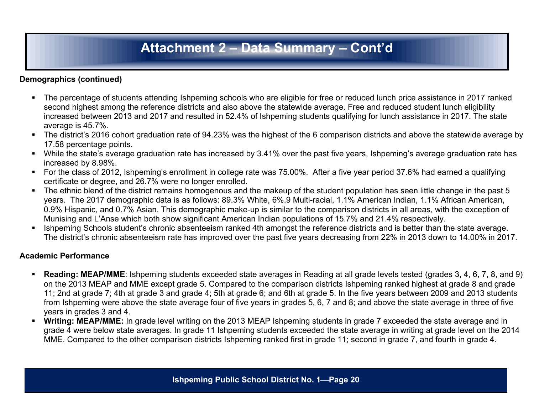# **Attachment 2 – Data Summary – Cont'd**

### **Demographics (continued)**

- The percentage of students attending Ishpeming schools who are eligible for free or reduced lunch price assistance in 2017 ranked second highest among the reference districts and also above the statewide average. Free and reduced student lunch eligibility increased between 2013 and 2017 and resulted in 52.4% of Ishpeming students qualifying for lunch assistance in 2017. The state average is 45.7%.
- The district's 2016 cohort graduation rate of 94.23% was the highest of the 6 comparison districts and above the statewide average by 17.58 percentage points.
- While the state's average graduation rate has increased by 3.41% over the past five years, Ishpeming's average graduation rate has increased by 8.98%.
- For the class of 2012, Ishpeming's enrollment in college rate was 75.00%. After a five year period 37.6% had earned a qualifying certificate or degree, and 26.7% were no longer enrolled.
- The ethnic blend of the district remains homogenous and the makeup of the student population has seen little change in the past 5 years. The 2017 demographic data is as follows: 89.3% White, 6%.9 Multi-racial, 1.1% American Indian, 1.1% African American, 0.9% Hispanic, and 0.7% Asian. This demographic make-up is similar to the comparison districts in all areas, with the exception of Munising and L'Anse which both show significant American Indian populations of 15.7% and 21.4% respectively.
- Ishpeming Schools student's chronic absenteeism ranked 4th amongst the reference districts and is better than the state average. The district's chronic absenteeism rate has improved over the past five years decreasing from 22% in 2013 down to 14.00% in 2017.

### **Academic Performance**

- **Reading: MEAP/MME**: Ishpeming students exceeded state averages in Reading at all grade levels tested (grades 3, 4, 6, 7, 8, and 9) on the 2013 MEAP and MME except grade 5. Compared to the comparison districts Ishpeming ranked highest at grade 8 and grade 11; 2nd at grade 7; 4th at grade 3 and grade 4; 5th at grade 6; and 6th at grade 5. In the five years between 2009 and 2013 students from Ishpeming were above the state average four of five years in grades 5, 6, 7 and 8; and above the state average in three of five years in grades 3 and 4.
- **Writing: MEAP/MME:** In grade level writing on the 2013 MEAP Ishpeming students in grade 7 exceeded the state average and in grade 4 were below state averages. In grade 11 Ishpeming students exceeded the state average in writing at grade level on the 2014 MME. Compared to the other comparison districts Ishpeming ranked first in grade 11; second in grade 7, and fourth in grade 4.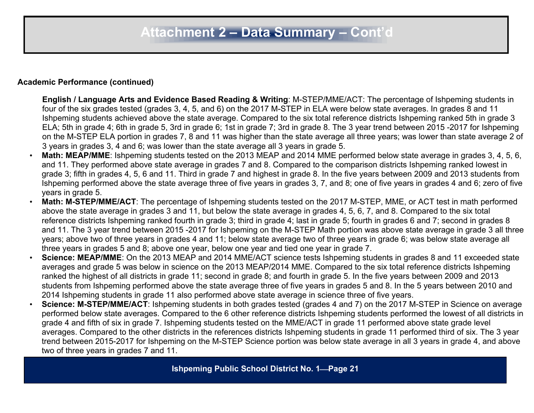### **Academic Performance (continued)**

- **English / Language Arts and Evidence Based Reading & Writing**: M-STEP/MME/ACT: The percentage of Ishpeming students in four of the six grades tested (grades 3, 4, 5, and 6) on the 2017 M-STEP in ELA were below state averages. In grades 8 and 11 Ishpeming students achieved above the state average. Compared to the six total reference districts Ishpeming ranked 5th in grade 3 ELA; 5th in grade 4; 6th in grade 5, 3rd in grade 6; 1st in grade 7; 3rd in grade 8. The 3 year trend between 2015 -2017 for Ishpeming on the M-STEP ELA portion in grades 7, 8 and 11 was higher than the state average all three years; was lower than state average 2 of 3 years in grades 3, 4 and 6; was lower than the state average all 3 years in grade 5.
- **Math: MEAP/MME**: Ishpeming students tested on the 2013 MEAP and 2014 MME performed below state average in grades 3, 4, 5, 6, and 11. They performed above state average in grades 7 and 8. Compared to the comparison districts Ishpeming ranked lowest in grade 3; fifth in grades 4, 5, 6 and 11. Third in grade 7 and highest in grade 8. In the five years between 2009 and 2013 students from Ishpeming performed above the state average three of five years in grades 3, 7, and 8; one of five years in grades 4 and 6; zero of five years in grade 5.
- **Math: M-STEP/MME/ACT**: The percentage of Ishpeming students tested on the 2017 M-STEP, MME, or ACT test in math performed above the state average in grades 3 and 11, but below the state average in grades 4, 5, 6, 7, and 8. Compared to the six total reference districts Ishpeming ranked fourth in grade 3; third in grade 4; last in grade 5; fourth in grades 6 and 7; second in grades 8 and 11. The 3 year trend between 2015 -2017 for Ishpeming on the M-STEP Math portion was above state average in grade 3 all three years; above two of three years in grades 4 and 11; below state average two of three years in grade 6; was below state average all three years in grades 5 and 8; above one year, below one year and tied one year in grade 7.
- **Science: MEAP/MME**: On the 2013 MEAP and 2014 MME/ACT science tests Ishpeming students in grades 8 and 11 exceeded state averages and grade 5 was below in science on the 2013 MEAP/2014 MME. Compared to the six total reference districts Ishpeming ranked the highest of all districts in grade 11; second in grade 8; and fourth in grade 5. In the five years between 2009 and 2013 students from Ishpeming performed above the state average three of five years in grades 5 and 8. In the 5 years between 2010 and 2014 Ishpeming students in grade 11 also performed above state average in science three of five years.
- **Science: M-STEP/MME/ACT**: Ishpeming students in both grades tested (grades 4 and 7) on the 2017 M-STEP in Science on average performed below state averages. Compared to the 6 other reference districts Ishpeming students performed the lowest of all districts in grade 4 and fifth of six in grade 7. Ishpeming students tested on the MME/ACT in grade 11 performed above state grade level averages. Compared to the other districts in the references districts Ishpeming students in grade 11 performed third of six. The 3 year trend between 2015-2017 for Ishpeming on the M-STEP Science portion was below state average in all 3 years in grade 4, and above two of three years in grades 7 and 11.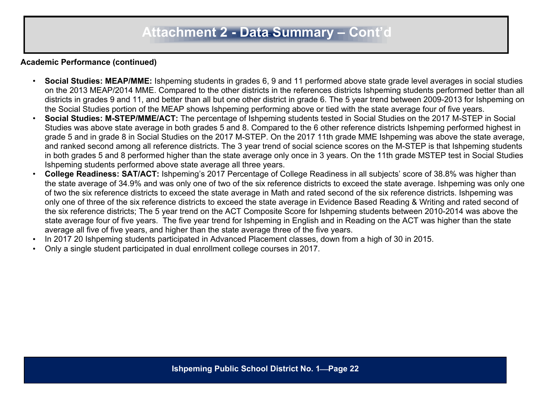### **Academic Performance (continued)**

- **Social Studies: MEAP/MME:** Ishpeming students in grades 6, 9 and 11 performed above state grade level averages in social studies on the 2013 MEAP/2014 MME. Compared to the other districts in the references districts Ishpeming students performed better than all districts in grades 9 and 11, and better than all but one other district in grade 6. The 5 year trend between 2009-2013 for Ishpeming on the Social Studies portion of the MEAP shows Ishpeming performing above or tied with the state average four of five years.
- **Social Studies: M-STEP/MME/ACT:** The percentage of Ishpeming students tested in Social Studies on the 2017 M-STEP in Social Studies was above state average in both grades 5 and 8. Compared to the 6 other reference districts Ishpeming performed highest in grade 5 and in grade 8 in Social Studies on the 2017 M-STEP. On the 2017 11th grade MME Ishpeming was above the state average, and ranked second among all reference districts. The 3 year trend of social science scores on the M-STEP is that Ishpeming students in both grades 5 and 8 performed higher than the state average only once in 3 years. On the 11th grade MSTEP test in Social Studies Ishpeming students performed above state average all three years.
- **College Readiness: SAT/ACT:** Ishpeming's 2017 Percentage of College Readiness in all subjects' score of 38.8% was higher than the state average of 34.9% and was only one of two of the six reference districts to exceed the state average. Ishpeming was only one of two the six reference districts to exceed the state average in Math and rated second of the six reference districts. Ishpeming was only one of three of the six reference districts to exceed the state average in Evidence Based Reading & Writing and rated second of the six reference districts; The 5 year trend on the ACT Composite Score for Ishpeming students between 2010-2014 was above the state average four of five years. The five year trend for Ishpeming in English and in Reading on the ACT was higher than the state average all five of five years, and higher than the state average three of the five years.
- In 2017 20 Ishpeming students participated in Advanced Placement classes, down from a high of 30 in 2015.
- Only a single student participated in dual enrollment college courses in 2017.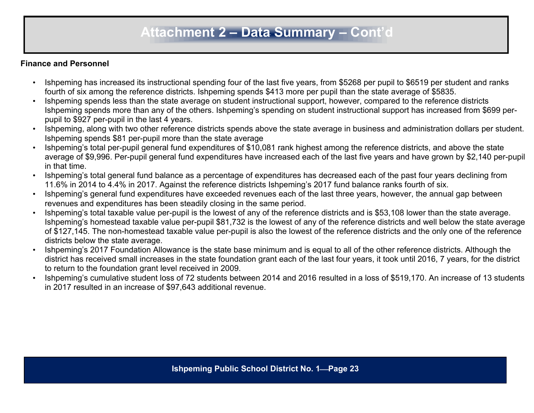# **Attachment 2 – Data Summary – Cont'd**

### **Finance and Personnel**

- Ishpeming has increased its instructional spending four of the last five years, from \$5268 per pupil to \$6519 per student and ranks fourth of six among the reference districts. Ishpeming spends \$413 more per pupil than the state average of \$5835.
- Ishpeming spends less than the state average on student instructional support, however, compared to the reference districts Ishpeming spends more than any of the others. Ishpeming's spending on student instructional support has increased from \$699 perpupil to \$927 per-pupil in the last 4 years.
- Ishpeming, along with two other reference districts spends above the state average in business and administration dollars per student. Ishpeming spends \$81 per-pupil more than the state average
- Ishpeming's total per-pupil general fund expenditures of \$10,081 rank highest among the reference districts, and above the state average of \$9,996. Per-pupil general fund expenditures have increased each of the last five years and have grown by \$2,140 per-pupil in that time.
- Ishpeming's total general fund balance as a percentage of expenditures has decreased each of the past four years declining from 11.6% in 2014 to 4.4% in 2017. Against the reference districts Ishpeming's 2017 fund balance ranks fourth of six.
- Ishpeming's general fund expenditures have exceeded revenues each of the last three years, however, the annual gap between revenues and expenditures has been steadily closing in the same period.
- Ishpeming's total taxable value per-pupil is the lowest of any of the reference districts and is \$53,108 lower than the state average. Ishpeming's homestead taxable value per-pupil \$81,732 is the lowest of any of the reference districts and well below the state average of \$127,145. The non-homestead taxable value per-pupil is also the lowest of the reference districts and the only one of the reference districts below the state average.
- Ishpeming's 2017 Foundation Allowance is the state base minimum and is equal to all of the other reference districts. Although the district has received small increases in the state foundation grant each of the last four years, it took until 2016, 7 years, for the district to return to the foundation grant level received in 2009.
- Ishpeming's cumulative student loss of 72 students between 2014 and 2016 resulted in a loss of \$519,170. An increase of 13 students in 2017 resulted in an increase of \$97,643 additional revenue.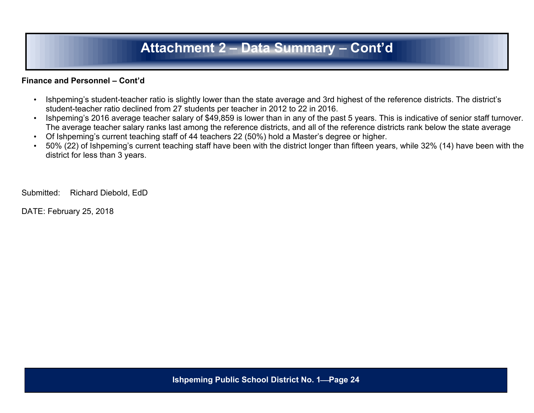# **Attachment 2 – Data Summary – Cont'd**

### **Finance and Personnel – Cont'd**

- Ishpeming's student-teacher ratio is slightly lower than the state average and 3rd highest of the reference districts. The district's student-teacher ratio declined from 27 students per teacher in 2012 to 22 in 2016.
- Ishpeming's 2016 average teacher salary of \$49,859 is lower than in any of the past 5 years. This is indicative of senior staff turnover. The average teacher salary ranks last among the reference districts, and all of the reference districts rank below the state average
- Of Ishpeming's current teaching staff of 44 teachers 22 (50%) hold a Master's degree or higher.
- 50% (22) of Ishpeming's current teaching staff have been with the district longer than fifteen years, while 32% (14) have been with the district for less than 3 years.

Submitted: Richard Diebold, EdD

DATE: February 25, 2018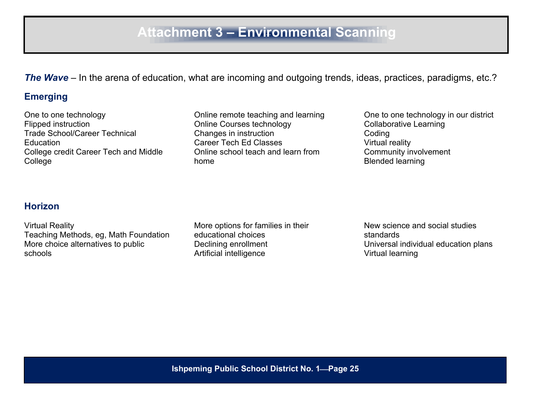*The Wave* – In the arena of education, what are incoming and outgoing trends, ideas, practices, paradigms, etc.?

# **Emerging**

One to one technology Flipped instruction Trade School/Career Technical **Education** College credit Career Tech and Middle College

Online remote teaching and learning Online Courses technology Changes in instruction Career Tech Ed Classes Online school teach and learn from home

One to one technology in our district Collaborative Learning Coding Virtual reality Community involvement Blended learning

## **Horizon**

Virtual Reality Teaching Methods, eg, Math Foundation More choice alternatives to public schools

More options for families in their educational choices Declining enrollment Artificial intelligence

New science and social studies standards Universal individual education plans Virtual learning

**Ishpeming Public School District No. 1Page 25**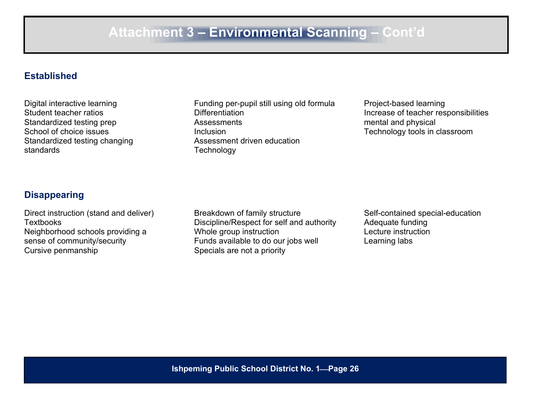## **Established**

Digital interactive learning Student teacher ratios Standardized testing prep School of choice issues Standardized testing changing standards

Funding per-pupil still using old formula Differentiation Assessments Inclusion Assessment driven education **Technology** 

Project-based learning Increase of teacher responsibilities mental and physical Technology tools in classroom

## **Disappearing**

Direct instruction (stand and deliver) **Textbooks** Neighborhood schools providing a sense of community/security Cursive penmanship

Breakdown of family structure Discipline/Respect for self and authority Whole group instruction Funds available to do our jobs well Specials are not a priority

Self-contained special-education Adequate funding Lecture instruction Learning labs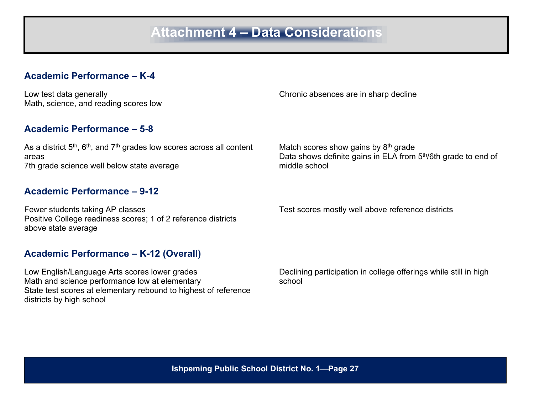## **Academic Performance – K-4**

Low test data generally Math, science, and reading scores low

## **Academic Performance – 5-8**

As a district  $5^{\text{th}},$   $6^{\text{th}},$  and  $7^{\text{th}}$  grades low scores across all content areas 7th grade science well below state average

### **Academic Performance – 9-12**

Fewer students taking AP classes Positive College readiness scores; 1 of 2 reference districts above state average

Chronic absences are in sharp decline

Match scores show gains by 8<sup>th</sup> grade Data shows definite gains in ELA from 5<sup>th</sup>/6th grade to end of middle school

Test scores mostly well above reference districts

### **Academic Performance – K-12 (Overall)**

Low English/Language Arts scores lower grades Math and science performance low at elementary State test scores at elementary rebound to highest of reference districts by high school

Declining participation in college offerings while still in high school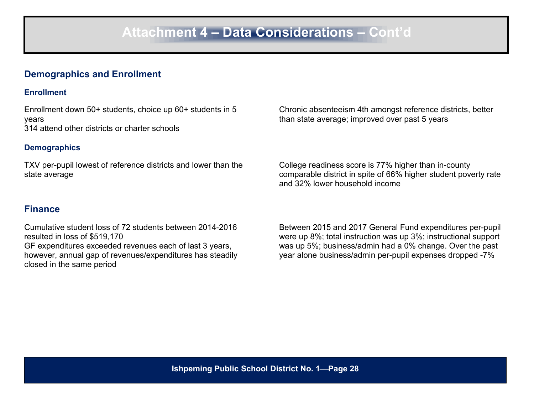## **Demographics and Enrollment**

### **Enrollment**

Enrollment down 50+ students, choice up 60+ students in 5 years 314 attend other districts or charter schools

### **Demographics**

TXV per-pupil lowest of reference districts and lower than the state average

## **Finance**

Cumulative student loss of 72 students between 2014-2016 resulted in loss of \$519,170 GF expenditures exceeded revenues each of last 3 years, however, annual gap of revenues/expenditures has steadily closed in the same period

Chronic absenteeism 4th amongst reference districts, better than state average; improved over past 5 years

College readiness score is 77% higher than in-county comparable district in spite of 66% higher student poverty rate and 32% lower household income

Between 2015 and 2017 General Fund expenditures per-pupil were up 8%; total instruction was up 3%; instructional support was up 5%; business/admin had a 0% change. Over the past year alone business/admin per-pupil expenses dropped -7%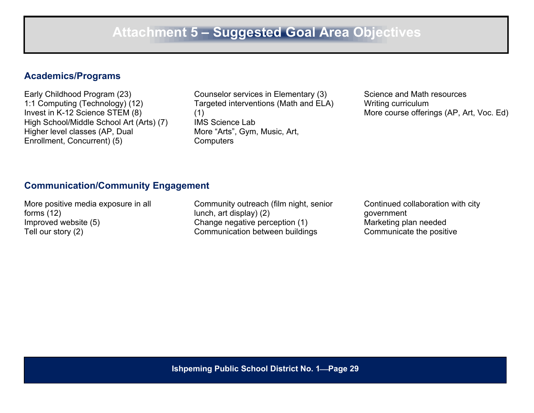### **Academics/Programs**

Early Childhood Program (23) 1:1 Computing (Technology) (12) Invest in K-12 Science STEM (8) High School/Middle School Art (Arts) (7) Higher level classes (AP, Dual Enrollment, Concurrent) (5)

Counselor services in Elementary (3) Targeted interventions (Math and ELA) (1) IMS Science Lab More "Arts", Gym, Music, Art, **Computers** 

Science and Math resources Writing curriculum More course offerings (AP, Art, Voc. Ed)

## **Communication/Community Engagement**

More positive media exposure in all forms (12) Improved website (5) Tell our story (2)

Community outreach (film night, senior lunch, art display) (2) Change negative perception (1) Communication between buildings

Continued collaboration with city government Marketing plan needed Communicate the positive

**Ishpeming Public School District No. 1Page 29**